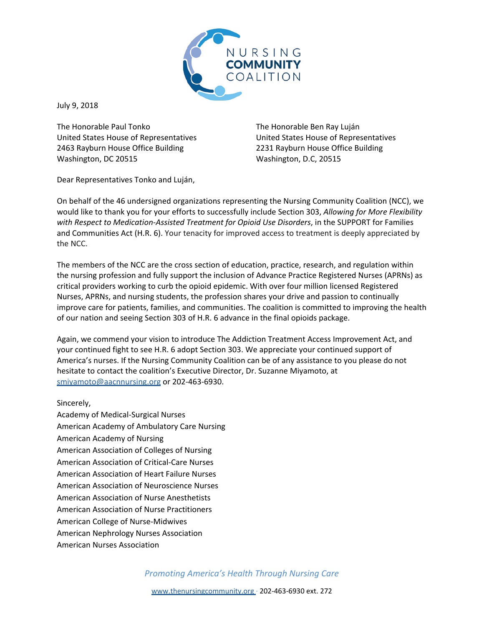

July 9, 2018

The Honorable Paul Tonko United States House of Representatives 2463 Rayburn House Office Building Washington, DC 20515

The Honorable Ben Ray Luján United States House of Representatives 2231 Rayburn House Office Building Washington, D.C, 20515

Dear Representatives Tonko and Luján,

On behalf of the 46 undersigned organizations representing the Nursing Community Coalition (NCC), we would like to thank you for your efforts to successfully include Section 303, *Allowing for More Flexibility with Respect to Medication-Assisted Treatment for Opioid Use Disorders*, in the SUPPORT for Families and Communities Act (H.R. 6). Your tenacity for improved access to treatment is deeply appreciated by the NCC.

The members of the NCC are the cross section of education, practice, research, and regulation within the nursing profession and fully support the inclusion of Advance Practice Registered Nurses (APRNs) as critical providers working to curb the opioid epidemic. With over four million licensed Registered Nurses, APRNs, and nursing students, the profession shares your drive and passion to continually improve care for patients, families, and communities. The coalition is committed to improving the health of our nation and seeing Section 303 of H.R. 6 advance in the final opioids package.

Again, we commend your vision to introduce The Addiction Treatment Access Improvement Act, and your continued fight to see H.R. 6 adopt Section 303. We appreciate your continued support of America's nurses. If the Nursing Community Coalition can be of any assistance to you please do not hesitate to contact the coalition's Executive Director, Dr. Suzanne Miyamoto, at smiyamoto@aacnnursing.org or 202-463-6930.

## Sincerely,

Academy of Medical-Surgical Nurses American Academy of Ambulatory Care Nursing American Academy of Nursing American Association of Colleges of Nursing American Association of Critical-Care Nurses American Association of Heart Failure Nurses American Association of Neuroscience Nurses American Association of Nurse Anesthetists American Association of Nurse Practitioners American College of Nurse-Midwives American Nephrology Nurses Association American Nurses Association

*Promoting America's Health Through Nursing Care*